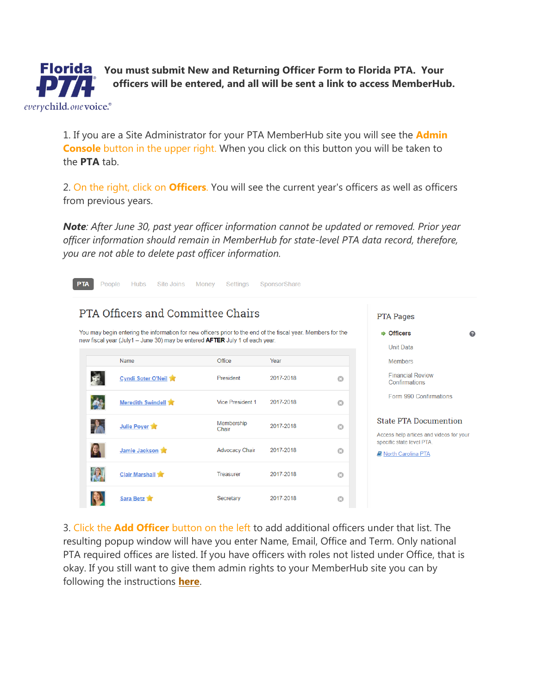**Florida** You must submit New and Returning Officer Form to Florida PTA. Your **officers will be entered, and all will be sent a link to access MemberHub.**

1. If you are a Site Administrator for your PTA MemberHub site you will see the **Admin Console** button in the upper right. When you click on this button you will be taken to the **PTA** tab.

everychild.onevoice.<sup>®</sup>

2. On the right, click on **Officers**. You will see the current year's officers as well as officers from previous years.

*Note: After June 30, past year officer information cannot be updated or removed. Prior year officer information should remain in MemberHub for state-level PTA data record, therefore, you are not able to delete past officer information.*

| <b>PTA</b>               | <b>Hubs</b><br>Site Joins<br>People                                                                                                               | Money<br>Settings                     | SponsorShare |         |                                                                         |  |
|--------------------------|---------------------------------------------------------------------------------------------------------------------------------------------------|---------------------------------------|--------------|---------|-------------------------------------------------------------------------|--|
|                          | PTA Officers and Committee Chairs<br>You may begin entering the information for new officers prior to the end of the fiscal year. Members for the | <b>PTA Pages</b><br><b>→ Officers</b> |              |         |                                                                         |  |
|                          | new fiscal year (July1 - June 30) may be entered <b>AFTER</b> July 1 of each year.<br>Name                                                        | Office                                | Year         |         | <b>Unit Data</b><br><b>Members</b>                                      |  |
|                          | Cyndi Soter O'Neil                                                                                                                                | President                             | 2017-2018    | $\odot$ | <b>Financial Review</b><br>Confirmations                                |  |
|                          | Meredith Swindell                                                                                                                                 | Vice President 1                      | 2017-2018    | $\odot$ | Form 990 Confirmations                                                  |  |
| <b>The Second Street</b> | Julie Poyer                                                                                                                                       | Membership<br>Chair                   | 2017-2018    | $\odot$ | <b>State PTA Documention</b><br>Access help artices and videos for your |  |
|                          | Jamie Jackson                                                                                                                                     | <b>Advocacy Chair</b>                 | 2017-2018    | $\odot$ | specific state level PTA.<br><b>D</b> North Carolina PTA                |  |
| $\mathcal{R}$            | <b>Clair Marshall</b>                                                                                                                             | Treasurer                             | 2017-2018    | $\odot$ |                                                                         |  |
|                          | Sara Betz                                                                                                                                         | Secretary                             | 2017-2018    | $\odot$ |                                                                         |  |

3. Click the **Add Officer** button on the left to add additional officers under that list. The resulting popup window will have you enter Name, Email, Office and Term. Only national PTA required offices are listed. If you have officers with roles not listed under Office, that is okay. If you still want to give them admin rights to your MemberHub site you can by following the instructions **[here](https://support.memberhub.com/hc/en-us/articles/115003198243-How-do-I-add-or-remove-Org-Site-Administrators-)**.